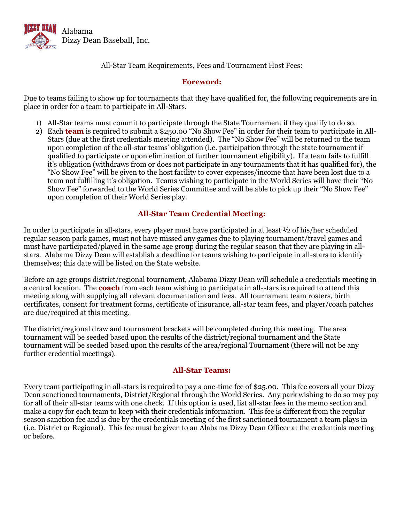

All-Star Team Requirements, Fees and Tournament Host Fees:

## **Foreword:**

Due to teams failing to show up for tournaments that they have qualified for, the following requirements are in place in order for a team to participate in All-Stars.

- 1) All-Star teams must commit to participate through the State Tournament if they qualify to do so.
- 2) Each **team** is required to submit a \$250.00 "No Show Fee" in order for their team to participate in All-Stars (due at the first credentials meeting attended). The "No Show Fee" will be returned to the team upon completion of the all-star teams' obligation (i.e. participation through the state tournament if qualified to participate or upon elimination of further tournament eligibility). If a team fails to fulfill it's obligation (withdraws from or does not participate in any tournaments that it has qualified for), the "No Show Fee" will be given to the host facility to cover expenses/income that have been lost due to a team not fulfilling it's obligation. Teams wishing to participate in the World Series will have their "No Show Fee" forwarded to the World Series Committee and will be able to pick up their "No Show Fee" upon completion of their World Series play.

# **All-Star Team Credential Meeting:**

In order to participate in all-stars, every player must have participated in at least ½ of his/her scheduled regular season park games, must not have missed any games due to playing tournament/travel games and must have participated/played in the same age group during the regular season that they are playing in allstars. Alabama Dizzy Dean will establish a deadline for teams wishing to participate in all-stars to identify themselves; this date will be listed on the State website.

Before an age groups district/regional tournament, Alabama Dizzy Dean will schedule a credentials meeting in a central location. The **coach** from each team wishing to participate in all-stars is required to attend this meeting along with supplying all relevant documentation and fees. All tournament team rosters, birth certificates, consent for treatment forms, certificate of insurance, all-star team fees, and player/coach patches are due/required at this meeting.

The district/regional draw and tournament brackets will be completed during this meeting. The area tournament will be seeded based upon the results of the district/regional tournament and the State tournament will be seeded based upon the results of the area/regional Tournament (there will not be any further credential meetings).

### **All-Star Teams:**

Every team participating in all-stars is required to pay a one-time fee of \$25.00. This fee covers all your Dizzy Dean sanctioned tournaments, District/Regional through the World Series. Any park wishing to do so may pay for all of their all-star teams with one check. If this option is used, list all-star fees in the memo section and make a copy for each team to keep with their credentials information. This fee is different from the regular season sanction fee and is due by the credentials meeting of the first sanctioned tournament a team plays in (i.e. District or Regional). This fee must be given to an Alabama Dizzy Dean Officer at the credentials meeting or before.